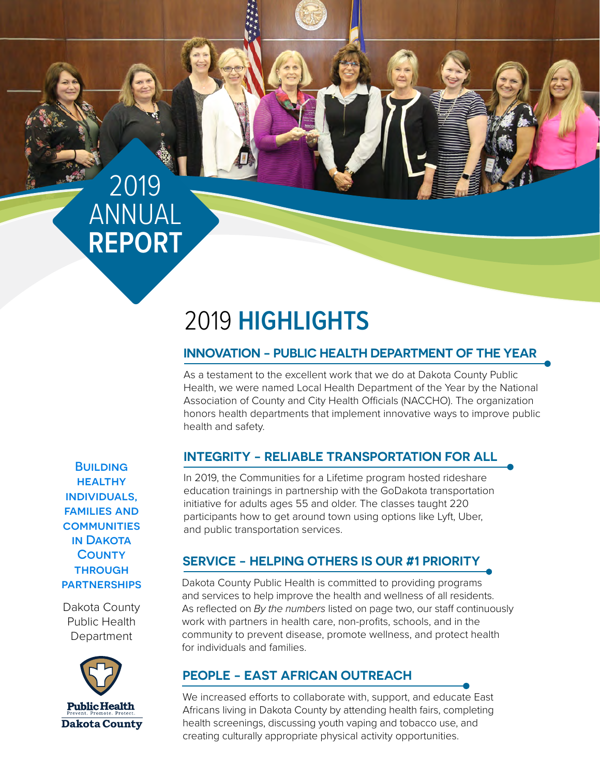## 2019 ANNUAL **REPORT**

### 2019 **HIGHLIGHTS**

#### **INNOVATION - PUBLIC HEALTH DEPARTMENT OF THE YEAR**

As a testament to the excellent work that we do at Dakota County Public Health, we were named Local Health Department of the Year by the National Association of County and City Health Officials (NACCHO). The organization honors health departments that implement innovative ways to improve public health and safety.

#### **INTEGRITY - RELIABLE TRANSPORTATION FOR ALL**

In 2019, the Communities for a Lifetime program hosted rideshare education trainings in partnership with the GoDakota transportation initiative for adults ages 55 and older. The classes taught 220 participants how to get around town using options like Lyft, Uber, and public transportation services.

#### **SERVICE - HELPING OTHERS IS OUR #1 PRIORITY**

Dakota County Public Health is committed to providing programs and services to help improve the health and wellness of all residents. As reflected on *By the numbers* listed on page two, our staff continuously work with partners in health care, non-profits, schools, and in the community to prevent disease, promote wellness, and protect health for individuals and families.

#### **PEOPLE - EAST AFRICAN OUTREACH**

We increased efforts to collaborate with, support, and educate East Africans living in Dakota County by attending health fairs, completing health screenings, discussing youth vaping and tobacco use, and creating culturally appropriate physical activity opportunities.

**BUILDING HEALTHY** individuals, families and **COMMUNITIES** in Dakota **COUNTY THROUGH PARTNERSHIPS** 

Dakota County Public Health Department